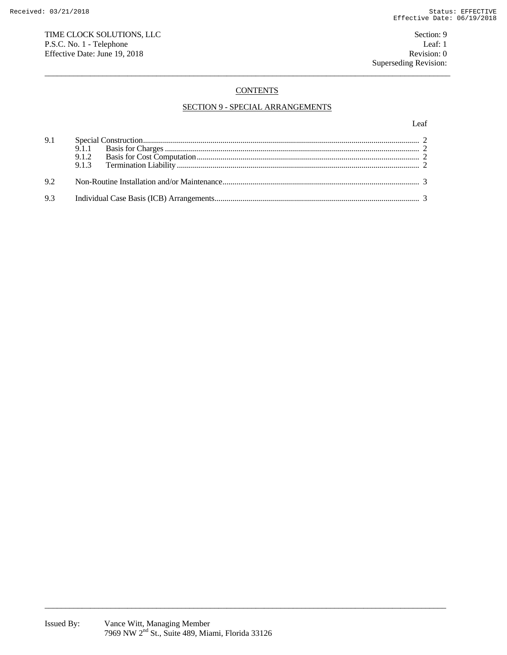## TIME CLOCK SOLUTIONS, LLC Section: 9 P.S.C. No. 1 - Telephone Leaf: 1<br>
Effective Date: June 19, 2018 Revision: 0 Effective Date: June 19, 2018

# **CONTENTS**

 $\overline{a}$  , and the state of the state of the state of the state of the state of the state of the state of the state of the state of the state of the state of the state of the state of the state of the state of the state o

## SECTION 9 - SPECIAL ARRANGEMENTS

Leaf

| 9.1 |  |
|-----|--|
| 9.2 |  |
|     |  |

\_\_\_\_\_\_\_\_\_\_\_\_\_\_\_\_\_\_\_\_\_\_\_\_\_\_\_\_\_\_\_\_\_\_\_\_\_\_\_\_\_\_\_\_\_\_\_\_\_\_\_\_\_\_\_\_\_\_\_\_\_\_\_\_\_\_\_\_\_\_\_\_\_\_\_\_\_\_\_\_\_\_\_\_\_\_\_\_\_\_\_\_\_\_\_\_\_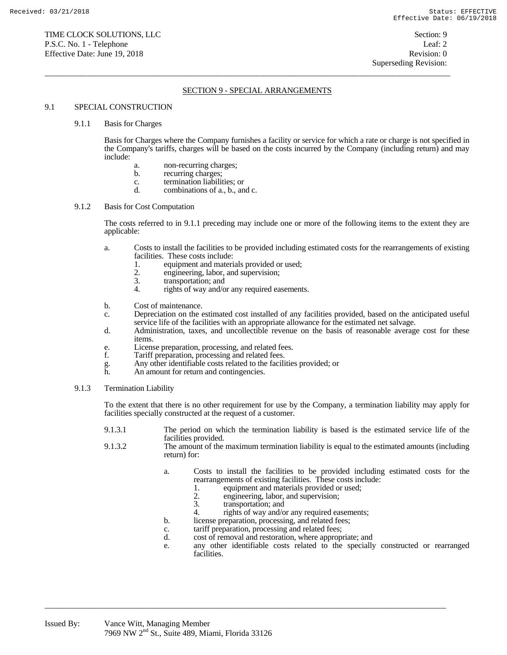## SECTION 9 - SPECIAL ARRANGEMENTS

 $\overline{a}$  , and the state of the state of the state of the state of the state of the state of the state of the state of the state of the state of the state of the state of the state of the state of the state of the state o

### 9.1 SPECIAL CONSTRUCTION

#### 9.1.1 Basis for Charges

 Basis for Charges where the Company furnishes a facility or service for which a rate or charge is not specified in the Company's tariffs, charges will be based on the costs incurred by the Company (including return) and may include:

- a. non-recurring charges;
- b. recurring charges;
- c. termination liabilities; or
- d. combinations of a., b., and c.

## 9.1.2 Basis for Cost Computation

 The costs referred to in 9.1.1 preceding may include one or more of the following items to the extent they are applicable:

- a. Costs to install the facilities to be provided including estimated costs for the rearrangements of existing facilities. These costs include:
	- 1. equipment and materials provided or used;<br>2. engineering, labor, and supervision;
	- 2. engineering, labor, and supervision;<br>3. transportation; and
	- transportation; and
	- 4. rights of way and/or any required easements.
- b. Cost of maintenance.
- c. Depreciation on the estimated cost installed of any facilities provided, based on the anticipated useful service life of the facilities with an appropriate allowance for the estimated net salvage.
- d. Administration, taxes, and uncollectible revenue on the basis of reasonable average cost for these items.
- e. License preparation, processing, and related fees.
- f. Tariff preparation, processing and related fees.
- g. Any other identifiable costs related to the facilities provided; or
- An amount for return and contingencies.
- 9.1.3 Termination Liability

 To the extent that there is no other requirement for use by the Company, a termination liability may apply for facilities specially constructed at the request of a customer.

- 9.1.3.1 The period on which the termination liability is based is the estimated service life of the facilities provided.
- 9.1.3.2 The amount of the maximum termination liability is equal to the estimated amounts (including return) for:
	- a. Costs to install the facilities to be provided including estimated costs for the rearrangements of existing facilities. These costs include:
		- 1. equipment and materials provided or used;<br>2. engineering, labor, and supervision:
		- 2. engineering, labor, and supervision;<br>3. transportation: and
		- transportation; and
		- 4. rights of way and/or any required easements;
	- b. license preparation, processing, and related fees;
	- c. tariff preparation, processing and related fees;

\_\_\_\_\_\_\_\_\_\_\_\_\_\_\_\_\_\_\_\_\_\_\_\_\_\_\_\_\_\_\_\_\_\_\_\_\_\_\_\_\_\_\_\_\_\_\_\_\_\_\_\_\_\_\_\_\_\_\_\_\_\_\_\_\_\_\_\_\_\_\_\_\_\_\_\_\_\_\_\_\_\_\_\_\_\_\_\_\_\_\_\_\_\_\_\_\_

- d. cost of removal and restoration, where appropriate; and
- e. any other identifiable costs related to the specially constructed or rearranged facilities.